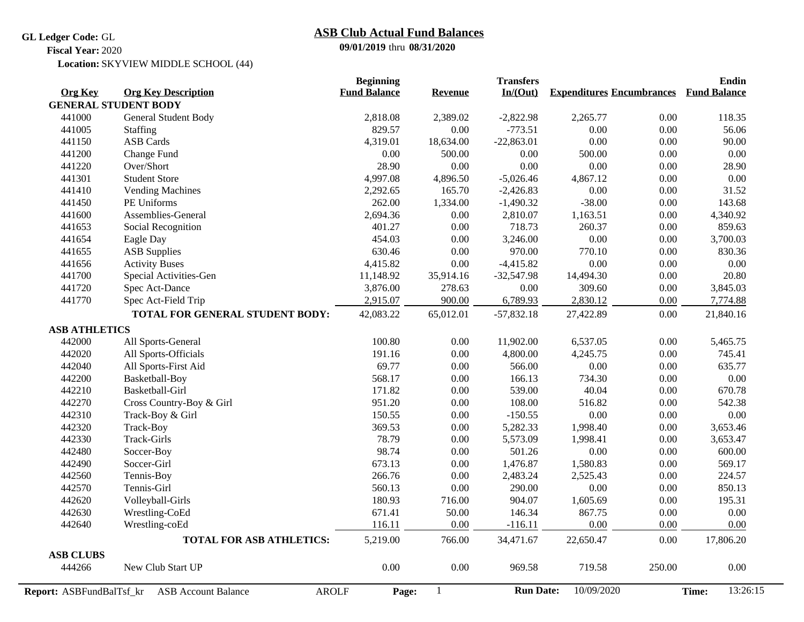## **GL Ledger Code:** GL

## **09/01/2019** thru **08/31/2020 ASB Club Actual Fund Balances**

**Fiscal Year:** 2020

Location: SKYVIEW MIDDLE SCHOOL (44)

| <b>Org Key</b><br><b>Org Key Description</b><br><b>Expenditures Encumbrances</b><br><b>Revenue</b><br><b>GENERAL STUDENT BODY</b><br>441000<br>General Student Body<br>2,818.08<br>$-2,822.98$<br>2,265.77<br>0.00<br>118.35<br>2,389.02<br>829.57<br>$-773.51$<br>0.00<br>441005<br>0.00<br>0.00<br>56.06<br>Staffing<br><b>ASB</b> Cards<br>0.00<br>0.00<br>441150<br>4,319.01<br>18,634.00<br>$-22,863.01$<br>90.00<br>0.00<br>$0.00\,$<br>441200<br>Change Fund<br>0.00<br>500.00<br>0.00<br>500.00<br>441220<br>Over/Short<br>28.90<br>0.00<br>0.00<br>0.00<br>0.00<br>28.90<br>441301<br>4,997.08<br>0.00<br>$0.00\,$<br><b>Student Store</b><br>4,896.50<br>$-5,026.46$<br>4,867.12<br>0.00<br>441410<br>2,292.65<br>165.70<br>$-2,426.83$<br>0.00<br>31.52<br><b>Vending Machines</b><br>$-38.00$<br>0.00<br>441450<br>PE Uniforms<br>262.00<br>1,334.00<br>$-1,490.32$<br>441600<br>Assemblies-General<br>2,694.36<br>0.00<br>2,810.07<br>1,163.51<br>0.00<br>401.27<br>718.73<br>0.00<br>859.63<br>441653<br>Social Recognition<br>0.00<br>260.37<br>441654<br>454.03<br>0.00<br>3,246.00<br>0.00<br>0.00<br>Eagle Day<br>630.46<br>970.00<br>770.10<br>0.00<br>441655<br><b>ASB Supplies</b><br>0.00<br>0.00<br>0.00<br>441656<br><b>Activity Buses</b><br>4,415.82<br>$-4,415.82$<br>0.00<br>441700<br>0.00<br>20.80<br>Special Activities-Gen<br>11,148.92<br>35,914.16<br>$-32,547.98$<br>14,494.30<br>309.60<br>0.00<br>441720<br>Spec Act-Dance<br>3,876.00<br>278.63<br>0.00<br>441770<br>2,915.07<br>900.00<br>6,789.93<br>2,830.12<br>$0.00\,$<br>Spec Act-Field Trip<br>TOTAL FOR GENERAL STUDENT BODY:<br>0.00<br>42,083.22<br>65,012.01<br>$-57,832.18$<br>27,422.89<br><b>ASB ATHLETICS</b><br>All Sports-General<br>100.80<br>11,902.00<br>0.00<br>442000<br>0.00<br>6,537.05<br>442020<br>All Sports-Officials<br>191.16<br>0.00<br>4,800.00<br>4,245.75<br>0.00<br>745.41<br>69.77<br>442040<br>566.00<br>0.00<br>0.00<br>All Sports-First Aid<br>0.00<br>442200<br>568.17<br>0.00<br>734.30<br>0.00<br>Basketball-Boy<br>166.13<br>442210<br>Basketball-Girl<br>0.00<br>539.00<br>40.04<br>0.00<br>171.82<br>442270<br>Cross Country-Boy & Girl<br>951.20<br>0.00<br>108.00<br>516.82<br>0.00<br>442310<br>150.55<br>$-150.55$<br>0.00<br>0.00<br>Track-Boy & Girl<br>0.00<br>442320<br>369.53<br>0.00<br>5,282.33<br>1,998.40<br>0.00<br>Track-Boy<br>442330<br>Track-Girls<br>78.79<br>0.00<br>5,573.09<br>0.00<br>1,998.41<br>442480<br>98.74<br>0.00<br>501.26<br>0.00<br>0.00<br>Soccer-Boy<br>442490<br>673.13<br>1,476.87<br>1,580.83<br>0.00<br>Soccer-Girl<br>0.00<br>442560<br>266.76<br>0.00<br>2,483.24<br>2,525.43<br>0.00<br>224.57<br>Tennis-Boy<br>442570<br>560.13<br>0.00<br>290.00<br>0.00<br>0.00<br>Tennis-Girl<br>442620<br>Volleyball-Girls<br>180.93<br>716.00<br>904.07<br>1,605.69<br>0.00<br>195.31<br>442630<br>671.41<br>146.34<br>867.75<br>0.00<br>Wrestling-CoEd<br>50.00<br>0.00<br>442640<br>Wrestling-coEd<br>116.11<br>$0.00\,$<br>$-116.11$<br>0.00<br>0.00<br><b>TOTAL FOR ASB ATHLETICS:</b><br>5,219.00<br>766.00<br>34,471.67<br>22,650.47<br><b>ASB CLUBS</b><br>0.00<br>$0.00\,$<br>444266<br>New Club Start UP<br>969.58<br>719.58<br>250.00<br><b>Run Date:</b><br><b>AROLF</b><br>Report: ASBFundBalTsf_kr |                            | <b>Beginning</b>    |              | <b>Transfers</b> |            | <b>Endin</b>        |  |
|-------------------------------------------------------------------------------------------------------------------------------------------------------------------------------------------------------------------------------------------------------------------------------------------------------------------------------------------------------------------------------------------------------------------------------------------------------------------------------------------------------------------------------------------------------------------------------------------------------------------------------------------------------------------------------------------------------------------------------------------------------------------------------------------------------------------------------------------------------------------------------------------------------------------------------------------------------------------------------------------------------------------------------------------------------------------------------------------------------------------------------------------------------------------------------------------------------------------------------------------------------------------------------------------------------------------------------------------------------------------------------------------------------------------------------------------------------------------------------------------------------------------------------------------------------------------------------------------------------------------------------------------------------------------------------------------------------------------------------------------------------------------------------------------------------------------------------------------------------------------------------------------------------------------------------------------------------------------------------------------------------------------------------------------------------------------------------------------------------------------------------------------------------------------------------------------------------------------------------------------------------------------------------------------------------------------------------------------------------------------------------------------------------------------------------------------------------------------------------------------------------------------------------------------------------------------------------------------------------------------------------------------------------------------------------------------------------------------------------------------------------------------------------------------------------------------------------------------------------------------------------------------------------------------------------------------------------------------------------------------------------------------------------------------------------------------------------------------------------------------------------------------------------------------------------------------------------------------------------------------------------------------------------------|----------------------------|---------------------|--------------|------------------|------------|---------------------|--|
|                                                                                                                                                                                                                                                                                                                                                                                                                                                                                                                                                                                                                                                                                                                                                                                                                                                                                                                                                                                                                                                                                                                                                                                                                                                                                                                                                                                                                                                                                                                                                                                                                                                                                                                                                                                                                                                                                                                                                                                                                                                                                                                                                                                                                                                                                                                                                                                                                                                                                                                                                                                                                                                                                                                                                                                                                                                                                                                                                                                                                                                                                                                                                                                                                                                                                     |                            | <b>Fund Balance</b> |              | In/(Out)         |            | <b>Fund Balance</b> |  |
|                                                                                                                                                                                                                                                                                                                                                                                                                                                                                                                                                                                                                                                                                                                                                                                                                                                                                                                                                                                                                                                                                                                                                                                                                                                                                                                                                                                                                                                                                                                                                                                                                                                                                                                                                                                                                                                                                                                                                                                                                                                                                                                                                                                                                                                                                                                                                                                                                                                                                                                                                                                                                                                                                                                                                                                                                                                                                                                                                                                                                                                                                                                                                                                                                                                                                     |                            |                     |              |                  |            |                     |  |
|                                                                                                                                                                                                                                                                                                                                                                                                                                                                                                                                                                                                                                                                                                                                                                                                                                                                                                                                                                                                                                                                                                                                                                                                                                                                                                                                                                                                                                                                                                                                                                                                                                                                                                                                                                                                                                                                                                                                                                                                                                                                                                                                                                                                                                                                                                                                                                                                                                                                                                                                                                                                                                                                                                                                                                                                                                                                                                                                                                                                                                                                                                                                                                                                                                                                                     |                            |                     |              |                  |            |                     |  |
|                                                                                                                                                                                                                                                                                                                                                                                                                                                                                                                                                                                                                                                                                                                                                                                                                                                                                                                                                                                                                                                                                                                                                                                                                                                                                                                                                                                                                                                                                                                                                                                                                                                                                                                                                                                                                                                                                                                                                                                                                                                                                                                                                                                                                                                                                                                                                                                                                                                                                                                                                                                                                                                                                                                                                                                                                                                                                                                                                                                                                                                                                                                                                                                                                                                                                     |                            |                     |              |                  |            |                     |  |
|                                                                                                                                                                                                                                                                                                                                                                                                                                                                                                                                                                                                                                                                                                                                                                                                                                                                                                                                                                                                                                                                                                                                                                                                                                                                                                                                                                                                                                                                                                                                                                                                                                                                                                                                                                                                                                                                                                                                                                                                                                                                                                                                                                                                                                                                                                                                                                                                                                                                                                                                                                                                                                                                                                                                                                                                                                                                                                                                                                                                                                                                                                                                                                                                                                                                                     |                            |                     |              |                  |            |                     |  |
|                                                                                                                                                                                                                                                                                                                                                                                                                                                                                                                                                                                                                                                                                                                                                                                                                                                                                                                                                                                                                                                                                                                                                                                                                                                                                                                                                                                                                                                                                                                                                                                                                                                                                                                                                                                                                                                                                                                                                                                                                                                                                                                                                                                                                                                                                                                                                                                                                                                                                                                                                                                                                                                                                                                                                                                                                                                                                                                                                                                                                                                                                                                                                                                                                                                                                     |                            |                     |              |                  |            |                     |  |
|                                                                                                                                                                                                                                                                                                                                                                                                                                                                                                                                                                                                                                                                                                                                                                                                                                                                                                                                                                                                                                                                                                                                                                                                                                                                                                                                                                                                                                                                                                                                                                                                                                                                                                                                                                                                                                                                                                                                                                                                                                                                                                                                                                                                                                                                                                                                                                                                                                                                                                                                                                                                                                                                                                                                                                                                                                                                                                                                                                                                                                                                                                                                                                                                                                                                                     |                            |                     |              |                  |            |                     |  |
|                                                                                                                                                                                                                                                                                                                                                                                                                                                                                                                                                                                                                                                                                                                                                                                                                                                                                                                                                                                                                                                                                                                                                                                                                                                                                                                                                                                                                                                                                                                                                                                                                                                                                                                                                                                                                                                                                                                                                                                                                                                                                                                                                                                                                                                                                                                                                                                                                                                                                                                                                                                                                                                                                                                                                                                                                                                                                                                                                                                                                                                                                                                                                                                                                                                                                     |                            |                     |              |                  |            |                     |  |
|                                                                                                                                                                                                                                                                                                                                                                                                                                                                                                                                                                                                                                                                                                                                                                                                                                                                                                                                                                                                                                                                                                                                                                                                                                                                                                                                                                                                                                                                                                                                                                                                                                                                                                                                                                                                                                                                                                                                                                                                                                                                                                                                                                                                                                                                                                                                                                                                                                                                                                                                                                                                                                                                                                                                                                                                                                                                                                                                                                                                                                                                                                                                                                                                                                                                                     |                            |                     |              |                  |            |                     |  |
|                                                                                                                                                                                                                                                                                                                                                                                                                                                                                                                                                                                                                                                                                                                                                                                                                                                                                                                                                                                                                                                                                                                                                                                                                                                                                                                                                                                                                                                                                                                                                                                                                                                                                                                                                                                                                                                                                                                                                                                                                                                                                                                                                                                                                                                                                                                                                                                                                                                                                                                                                                                                                                                                                                                                                                                                                                                                                                                                                                                                                                                                                                                                                                                                                                                                                     |                            |                     |              |                  |            | 143.68              |  |
|                                                                                                                                                                                                                                                                                                                                                                                                                                                                                                                                                                                                                                                                                                                                                                                                                                                                                                                                                                                                                                                                                                                                                                                                                                                                                                                                                                                                                                                                                                                                                                                                                                                                                                                                                                                                                                                                                                                                                                                                                                                                                                                                                                                                                                                                                                                                                                                                                                                                                                                                                                                                                                                                                                                                                                                                                                                                                                                                                                                                                                                                                                                                                                                                                                                                                     |                            |                     |              |                  |            | 4,340.92            |  |
|                                                                                                                                                                                                                                                                                                                                                                                                                                                                                                                                                                                                                                                                                                                                                                                                                                                                                                                                                                                                                                                                                                                                                                                                                                                                                                                                                                                                                                                                                                                                                                                                                                                                                                                                                                                                                                                                                                                                                                                                                                                                                                                                                                                                                                                                                                                                                                                                                                                                                                                                                                                                                                                                                                                                                                                                                                                                                                                                                                                                                                                                                                                                                                                                                                                                                     |                            |                     |              |                  |            |                     |  |
|                                                                                                                                                                                                                                                                                                                                                                                                                                                                                                                                                                                                                                                                                                                                                                                                                                                                                                                                                                                                                                                                                                                                                                                                                                                                                                                                                                                                                                                                                                                                                                                                                                                                                                                                                                                                                                                                                                                                                                                                                                                                                                                                                                                                                                                                                                                                                                                                                                                                                                                                                                                                                                                                                                                                                                                                                                                                                                                                                                                                                                                                                                                                                                                                                                                                                     |                            |                     |              |                  |            | 3,700.03            |  |
|                                                                                                                                                                                                                                                                                                                                                                                                                                                                                                                                                                                                                                                                                                                                                                                                                                                                                                                                                                                                                                                                                                                                                                                                                                                                                                                                                                                                                                                                                                                                                                                                                                                                                                                                                                                                                                                                                                                                                                                                                                                                                                                                                                                                                                                                                                                                                                                                                                                                                                                                                                                                                                                                                                                                                                                                                                                                                                                                                                                                                                                                                                                                                                                                                                                                                     |                            |                     |              |                  |            | 830.36              |  |
|                                                                                                                                                                                                                                                                                                                                                                                                                                                                                                                                                                                                                                                                                                                                                                                                                                                                                                                                                                                                                                                                                                                                                                                                                                                                                                                                                                                                                                                                                                                                                                                                                                                                                                                                                                                                                                                                                                                                                                                                                                                                                                                                                                                                                                                                                                                                                                                                                                                                                                                                                                                                                                                                                                                                                                                                                                                                                                                                                                                                                                                                                                                                                                                                                                                                                     |                            |                     |              |                  |            | 0.00                |  |
|                                                                                                                                                                                                                                                                                                                                                                                                                                                                                                                                                                                                                                                                                                                                                                                                                                                                                                                                                                                                                                                                                                                                                                                                                                                                                                                                                                                                                                                                                                                                                                                                                                                                                                                                                                                                                                                                                                                                                                                                                                                                                                                                                                                                                                                                                                                                                                                                                                                                                                                                                                                                                                                                                                                                                                                                                                                                                                                                                                                                                                                                                                                                                                                                                                                                                     |                            |                     |              |                  |            |                     |  |
|                                                                                                                                                                                                                                                                                                                                                                                                                                                                                                                                                                                                                                                                                                                                                                                                                                                                                                                                                                                                                                                                                                                                                                                                                                                                                                                                                                                                                                                                                                                                                                                                                                                                                                                                                                                                                                                                                                                                                                                                                                                                                                                                                                                                                                                                                                                                                                                                                                                                                                                                                                                                                                                                                                                                                                                                                                                                                                                                                                                                                                                                                                                                                                                                                                                                                     |                            |                     |              |                  |            | 3,845.03            |  |
|                                                                                                                                                                                                                                                                                                                                                                                                                                                                                                                                                                                                                                                                                                                                                                                                                                                                                                                                                                                                                                                                                                                                                                                                                                                                                                                                                                                                                                                                                                                                                                                                                                                                                                                                                                                                                                                                                                                                                                                                                                                                                                                                                                                                                                                                                                                                                                                                                                                                                                                                                                                                                                                                                                                                                                                                                                                                                                                                                                                                                                                                                                                                                                                                                                                                                     |                            |                     |              |                  |            | 7,774.88            |  |
|                                                                                                                                                                                                                                                                                                                                                                                                                                                                                                                                                                                                                                                                                                                                                                                                                                                                                                                                                                                                                                                                                                                                                                                                                                                                                                                                                                                                                                                                                                                                                                                                                                                                                                                                                                                                                                                                                                                                                                                                                                                                                                                                                                                                                                                                                                                                                                                                                                                                                                                                                                                                                                                                                                                                                                                                                                                                                                                                                                                                                                                                                                                                                                                                                                                                                     |                            |                     |              |                  |            | 21,840.16           |  |
|                                                                                                                                                                                                                                                                                                                                                                                                                                                                                                                                                                                                                                                                                                                                                                                                                                                                                                                                                                                                                                                                                                                                                                                                                                                                                                                                                                                                                                                                                                                                                                                                                                                                                                                                                                                                                                                                                                                                                                                                                                                                                                                                                                                                                                                                                                                                                                                                                                                                                                                                                                                                                                                                                                                                                                                                                                                                                                                                                                                                                                                                                                                                                                                                                                                                                     |                            |                     |              |                  |            |                     |  |
|                                                                                                                                                                                                                                                                                                                                                                                                                                                                                                                                                                                                                                                                                                                                                                                                                                                                                                                                                                                                                                                                                                                                                                                                                                                                                                                                                                                                                                                                                                                                                                                                                                                                                                                                                                                                                                                                                                                                                                                                                                                                                                                                                                                                                                                                                                                                                                                                                                                                                                                                                                                                                                                                                                                                                                                                                                                                                                                                                                                                                                                                                                                                                                                                                                                                                     |                            |                     |              |                  |            | 5,465.75            |  |
|                                                                                                                                                                                                                                                                                                                                                                                                                                                                                                                                                                                                                                                                                                                                                                                                                                                                                                                                                                                                                                                                                                                                                                                                                                                                                                                                                                                                                                                                                                                                                                                                                                                                                                                                                                                                                                                                                                                                                                                                                                                                                                                                                                                                                                                                                                                                                                                                                                                                                                                                                                                                                                                                                                                                                                                                                                                                                                                                                                                                                                                                                                                                                                                                                                                                                     |                            |                     |              |                  |            |                     |  |
|                                                                                                                                                                                                                                                                                                                                                                                                                                                                                                                                                                                                                                                                                                                                                                                                                                                                                                                                                                                                                                                                                                                                                                                                                                                                                                                                                                                                                                                                                                                                                                                                                                                                                                                                                                                                                                                                                                                                                                                                                                                                                                                                                                                                                                                                                                                                                                                                                                                                                                                                                                                                                                                                                                                                                                                                                                                                                                                                                                                                                                                                                                                                                                                                                                                                                     |                            |                     |              |                  |            | 635.77              |  |
|                                                                                                                                                                                                                                                                                                                                                                                                                                                                                                                                                                                                                                                                                                                                                                                                                                                                                                                                                                                                                                                                                                                                                                                                                                                                                                                                                                                                                                                                                                                                                                                                                                                                                                                                                                                                                                                                                                                                                                                                                                                                                                                                                                                                                                                                                                                                                                                                                                                                                                                                                                                                                                                                                                                                                                                                                                                                                                                                                                                                                                                                                                                                                                                                                                                                                     |                            |                     |              |                  |            | 0.00                |  |
|                                                                                                                                                                                                                                                                                                                                                                                                                                                                                                                                                                                                                                                                                                                                                                                                                                                                                                                                                                                                                                                                                                                                                                                                                                                                                                                                                                                                                                                                                                                                                                                                                                                                                                                                                                                                                                                                                                                                                                                                                                                                                                                                                                                                                                                                                                                                                                                                                                                                                                                                                                                                                                                                                                                                                                                                                                                                                                                                                                                                                                                                                                                                                                                                                                                                                     |                            |                     |              |                  |            | 670.78              |  |
|                                                                                                                                                                                                                                                                                                                                                                                                                                                                                                                                                                                                                                                                                                                                                                                                                                                                                                                                                                                                                                                                                                                                                                                                                                                                                                                                                                                                                                                                                                                                                                                                                                                                                                                                                                                                                                                                                                                                                                                                                                                                                                                                                                                                                                                                                                                                                                                                                                                                                                                                                                                                                                                                                                                                                                                                                                                                                                                                                                                                                                                                                                                                                                                                                                                                                     |                            |                     |              |                  |            | 542.38              |  |
|                                                                                                                                                                                                                                                                                                                                                                                                                                                                                                                                                                                                                                                                                                                                                                                                                                                                                                                                                                                                                                                                                                                                                                                                                                                                                                                                                                                                                                                                                                                                                                                                                                                                                                                                                                                                                                                                                                                                                                                                                                                                                                                                                                                                                                                                                                                                                                                                                                                                                                                                                                                                                                                                                                                                                                                                                                                                                                                                                                                                                                                                                                                                                                                                                                                                                     |                            |                     |              |                  |            | $0.00\,$            |  |
|                                                                                                                                                                                                                                                                                                                                                                                                                                                                                                                                                                                                                                                                                                                                                                                                                                                                                                                                                                                                                                                                                                                                                                                                                                                                                                                                                                                                                                                                                                                                                                                                                                                                                                                                                                                                                                                                                                                                                                                                                                                                                                                                                                                                                                                                                                                                                                                                                                                                                                                                                                                                                                                                                                                                                                                                                                                                                                                                                                                                                                                                                                                                                                                                                                                                                     |                            |                     |              |                  |            | 3,653.46            |  |
|                                                                                                                                                                                                                                                                                                                                                                                                                                                                                                                                                                                                                                                                                                                                                                                                                                                                                                                                                                                                                                                                                                                                                                                                                                                                                                                                                                                                                                                                                                                                                                                                                                                                                                                                                                                                                                                                                                                                                                                                                                                                                                                                                                                                                                                                                                                                                                                                                                                                                                                                                                                                                                                                                                                                                                                                                                                                                                                                                                                                                                                                                                                                                                                                                                                                                     |                            |                     |              |                  |            | 3,653.47            |  |
|                                                                                                                                                                                                                                                                                                                                                                                                                                                                                                                                                                                                                                                                                                                                                                                                                                                                                                                                                                                                                                                                                                                                                                                                                                                                                                                                                                                                                                                                                                                                                                                                                                                                                                                                                                                                                                                                                                                                                                                                                                                                                                                                                                                                                                                                                                                                                                                                                                                                                                                                                                                                                                                                                                                                                                                                                                                                                                                                                                                                                                                                                                                                                                                                                                                                                     |                            |                     |              |                  |            | 600.00              |  |
|                                                                                                                                                                                                                                                                                                                                                                                                                                                                                                                                                                                                                                                                                                                                                                                                                                                                                                                                                                                                                                                                                                                                                                                                                                                                                                                                                                                                                                                                                                                                                                                                                                                                                                                                                                                                                                                                                                                                                                                                                                                                                                                                                                                                                                                                                                                                                                                                                                                                                                                                                                                                                                                                                                                                                                                                                                                                                                                                                                                                                                                                                                                                                                                                                                                                                     |                            |                     |              |                  |            | 569.17              |  |
|                                                                                                                                                                                                                                                                                                                                                                                                                                                                                                                                                                                                                                                                                                                                                                                                                                                                                                                                                                                                                                                                                                                                                                                                                                                                                                                                                                                                                                                                                                                                                                                                                                                                                                                                                                                                                                                                                                                                                                                                                                                                                                                                                                                                                                                                                                                                                                                                                                                                                                                                                                                                                                                                                                                                                                                                                                                                                                                                                                                                                                                                                                                                                                                                                                                                                     |                            |                     |              |                  |            |                     |  |
|                                                                                                                                                                                                                                                                                                                                                                                                                                                                                                                                                                                                                                                                                                                                                                                                                                                                                                                                                                                                                                                                                                                                                                                                                                                                                                                                                                                                                                                                                                                                                                                                                                                                                                                                                                                                                                                                                                                                                                                                                                                                                                                                                                                                                                                                                                                                                                                                                                                                                                                                                                                                                                                                                                                                                                                                                                                                                                                                                                                                                                                                                                                                                                                                                                                                                     |                            |                     |              |                  |            | 850.13              |  |
|                                                                                                                                                                                                                                                                                                                                                                                                                                                                                                                                                                                                                                                                                                                                                                                                                                                                                                                                                                                                                                                                                                                                                                                                                                                                                                                                                                                                                                                                                                                                                                                                                                                                                                                                                                                                                                                                                                                                                                                                                                                                                                                                                                                                                                                                                                                                                                                                                                                                                                                                                                                                                                                                                                                                                                                                                                                                                                                                                                                                                                                                                                                                                                                                                                                                                     |                            |                     |              |                  |            |                     |  |
|                                                                                                                                                                                                                                                                                                                                                                                                                                                                                                                                                                                                                                                                                                                                                                                                                                                                                                                                                                                                                                                                                                                                                                                                                                                                                                                                                                                                                                                                                                                                                                                                                                                                                                                                                                                                                                                                                                                                                                                                                                                                                                                                                                                                                                                                                                                                                                                                                                                                                                                                                                                                                                                                                                                                                                                                                                                                                                                                                                                                                                                                                                                                                                                                                                                                                     |                            |                     |              |                  |            | 0.00                |  |
|                                                                                                                                                                                                                                                                                                                                                                                                                                                                                                                                                                                                                                                                                                                                                                                                                                                                                                                                                                                                                                                                                                                                                                                                                                                                                                                                                                                                                                                                                                                                                                                                                                                                                                                                                                                                                                                                                                                                                                                                                                                                                                                                                                                                                                                                                                                                                                                                                                                                                                                                                                                                                                                                                                                                                                                                                                                                                                                                                                                                                                                                                                                                                                                                                                                                                     |                            |                     |              |                  |            | 0.00                |  |
|                                                                                                                                                                                                                                                                                                                                                                                                                                                                                                                                                                                                                                                                                                                                                                                                                                                                                                                                                                                                                                                                                                                                                                                                                                                                                                                                                                                                                                                                                                                                                                                                                                                                                                                                                                                                                                                                                                                                                                                                                                                                                                                                                                                                                                                                                                                                                                                                                                                                                                                                                                                                                                                                                                                                                                                                                                                                                                                                                                                                                                                                                                                                                                                                                                                                                     |                            |                     |              |                  |            | 17,806.20           |  |
|                                                                                                                                                                                                                                                                                                                                                                                                                                                                                                                                                                                                                                                                                                                                                                                                                                                                                                                                                                                                                                                                                                                                                                                                                                                                                                                                                                                                                                                                                                                                                                                                                                                                                                                                                                                                                                                                                                                                                                                                                                                                                                                                                                                                                                                                                                                                                                                                                                                                                                                                                                                                                                                                                                                                                                                                                                                                                                                                                                                                                                                                                                                                                                                                                                                                                     |                            |                     |              |                  |            |                     |  |
|                                                                                                                                                                                                                                                                                                                                                                                                                                                                                                                                                                                                                                                                                                                                                                                                                                                                                                                                                                                                                                                                                                                                                                                                                                                                                                                                                                                                                                                                                                                                                                                                                                                                                                                                                                                                                                                                                                                                                                                                                                                                                                                                                                                                                                                                                                                                                                                                                                                                                                                                                                                                                                                                                                                                                                                                                                                                                                                                                                                                                                                                                                                                                                                                                                                                                     |                            |                     |              |                  |            | 0.00                |  |
|                                                                                                                                                                                                                                                                                                                                                                                                                                                                                                                                                                                                                                                                                                                                                                                                                                                                                                                                                                                                                                                                                                                                                                                                                                                                                                                                                                                                                                                                                                                                                                                                                                                                                                                                                                                                                                                                                                                                                                                                                                                                                                                                                                                                                                                                                                                                                                                                                                                                                                                                                                                                                                                                                                                                                                                                                                                                                                                                                                                                                                                                                                                                                                                                                                                                                     | <b>ASB Account Balance</b> | Page:               | $\mathbf{1}$ |                  | 10/09/2020 | 13:26:15<br>Time:   |  |